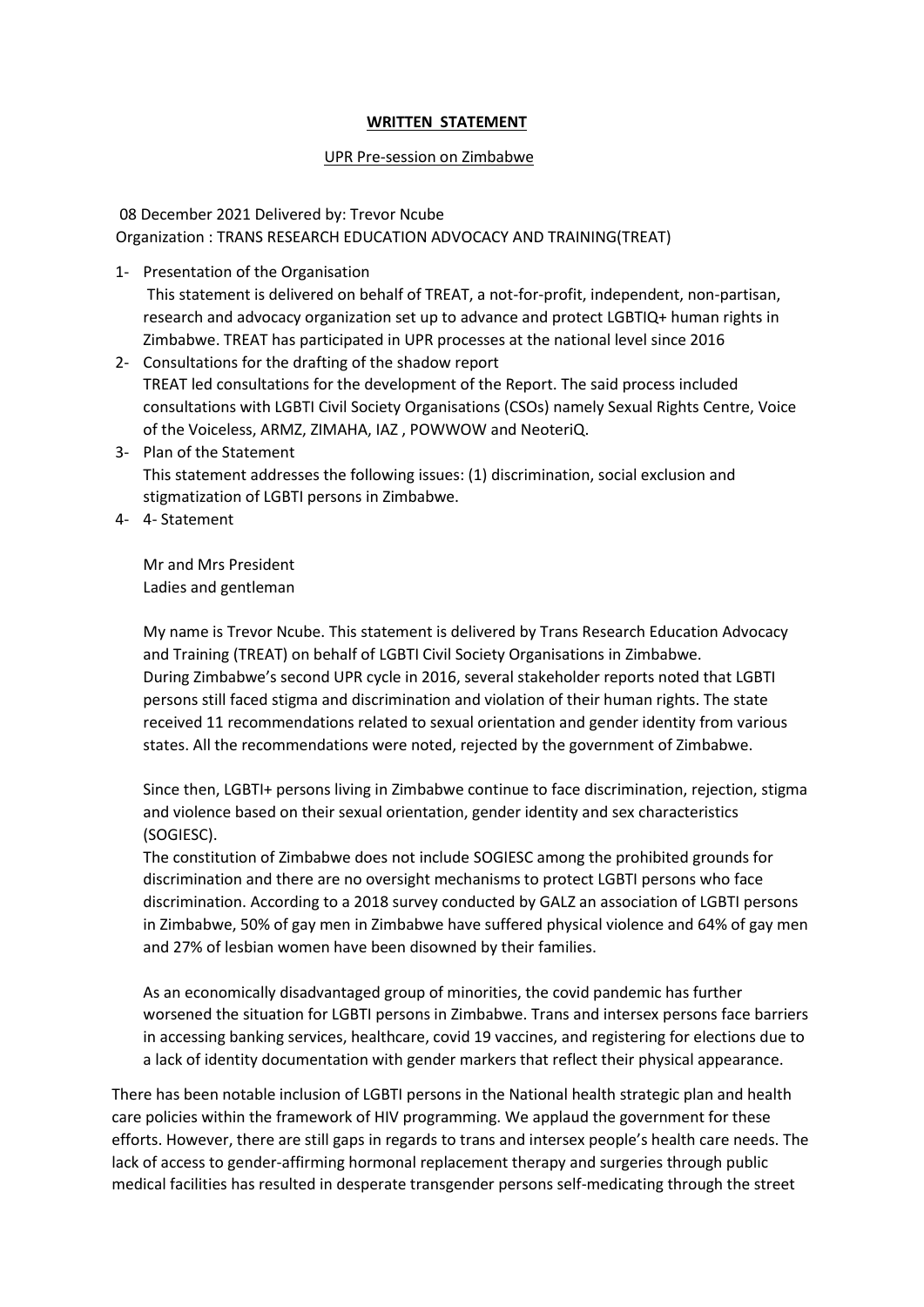## **WRITTEN STATEMENT**

## UPR Pre-session on Zimbabwe

 08 December 2021 Delivered by: Trevor Ncube Organization : TRANS RESEARCH EDUCATION ADVOCACY AND TRAINING(TREAT)

1- Presentation of the Organisation

This statement is delivered on behalf of TREAT, a not-for-profit, independent, non-partisan, research and advocacy organization set up to advance and protect LGBTIQ+ human rights in Zimbabwe. TREAT has participated in UPR processes at the national level since 2016

- 2- Consultations for the drafting of the shadow report TREAT led consultations for the development of the Report. The said process included consultations with LGBTI Civil Society Organisations (CSOs) namely Sexual Rights Centre, Voice of the Voiceless, ARMZ, ZIMAHA, IAZ , POWWOW and NeoteriQ.
- 3- Plan of the Statement This statement addresses the following issues: (1) discrimination, social exclusion and stigmatization of LGBTI persons in Zimbabwe.
- 4- 4- Statement

Mr and Mrs President Ladies and gentleman

My name is Trevor Ncube. This statement is delivered by Trans Research Education Advocacy and Training (TREAT) on behalf of LGBTI Civil Society Organisations in Zimbabwe. During Zimbabwe's second UPR cycle in 2016, several stakeholder reports noted that LGBTI persons still faced stigma and discrimination and violation of their human rights. The state received 11 recommendations related to sexual orientation and gender identity from various states. All the recommendations were noted, rejected by the government of Zimbabwe.

Since then, LGBTI+ persons living in Zimbabwe continue to face discrimination, rejection, stigma and violence based on their sexual orientation, gender identity and sex characteristics (SOGIESC).

The constitution of Zimbabwe does not include SOGIESC among the prohibited grounds for discrimination and there are no oversight mechanisms to protect LGBTI persons who face discrimination. According to a 2018 survey conducted by GALZ an association of LGBTI persons in Zimbabwe, 50% of gay men in Zimbabwe have suffered physical violence and 64% of gay men and 27% of lesbian women have been disowned by their families.

As an economically disadvantaged group of minorities, the covid pandemic has further worsened the situation for LGBTI persons in Zimbabwe. Trans and intersex persons face barriers in accessing banking services, healthcare, covid 19 vaccines, and registering for elections due to a lack of identity documentation with gender markers that reflect their physical appearance.

There has been notable inclusion of LGBTI persons in the National health strategic plan and health care policies within the framework of HIV programming. We applaud the government for these efforts. However, there are still gaps in regards to trans and intersex people's health care needs. The lack of access to gender-affirming hormonal replacement therapy and surgeries through public medical facilities has resulted in desperate transgender persons self-medicating through the street